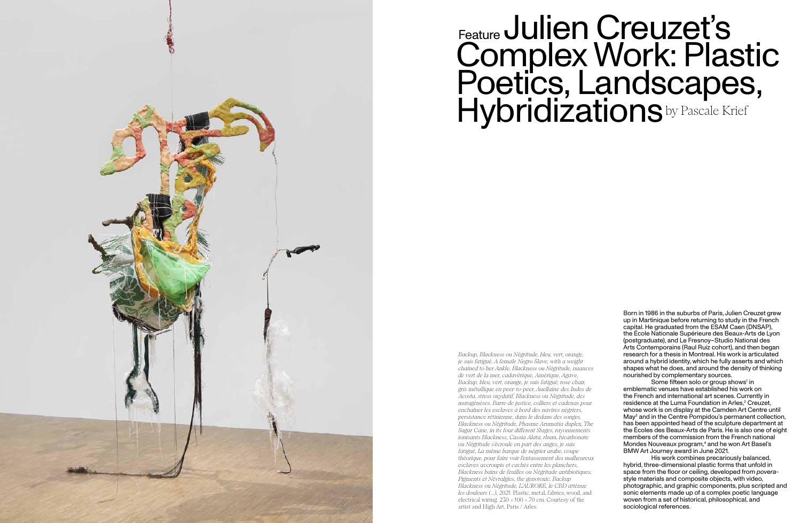

# Feature Julien Creuzet's Complex Work: Plastic Poetics, Landscapes, Hybridizations by Pascale Krief

*Backup, Blackness ou Négritude, bleu, vert, orange, je suis fatigué, A female Negro Slave, with a weight chained to her Ankle, Blackness ou Négritude, nuances de vert de la mer, cadavérique, Amérique, Agave, Backup, bleu, vert, orange, je suis fatigué, rose chair, gris métallique en peer-to-peer, Auellaine des Indes de Acosta, stress oxydatif, Blackness ou Négritude, des mutagénèses. Barre de justice, colliers et cadenas pour enchaîner les esclaves à bord des navires négriers, persistance rétinienne, dans le dedans des songes, Blackness ou Négritude, Phasme Arumatia duplex, The Sugar Cane, in its four different Stages, rayonnements ionisants Blackness, Cassia Alata, rhum, bicarbonate ou Négritude s'écroule en part des anges, je suis fatigué, La même barque de négrier arabe, coupe théorique, pour faire voir l'entassement des malheureux esclaves accroupis et cachés entre les planchers, Blackness bains de feuilles ou Négritude antibiotiques, Pigments et Névralgies, the genotoxic, Backup Blackness ou Négritude, L'AURORE, le CBD atténue les douleurs (…)*, 2021. Plastic, metal, fabrics, wood, and electrical wiring.  $230 \times 100 \times 70$  cm. Courtesy of the artist and High Art, Paris / Arles.

Some fifteen solo or group shows<sup>1</sup> in emblematic venues have established his work on the French and international art scenes. Currently in residence at the Luma Foundation in Arles,<sup>2</sup> Creuzet, whose work is on display at the Camden Art Centre until May<sup>3</sup> and in the Centre Pompidou's permanent collection, has been appointed head of the sculpture department at the Écoles des Beaux-Arts de Paris. He is also one of eight members of the commission from the French national Mondes Nouveaux program,<sup>4</sup> and he won Art Basel's BMW Art Journey award in June 2021.

Born in 1986 in the suburbs of Paris, Julien Creuzet grew up in Martinique before returning to study in the French capital. He graduated from the ESAM Caen (DNSAP), the École Nationale Supérieure des Beaux-Arts de Lyon (postgraduate), and Le Fresnoy–Studio National des Arts Contemporains (Raul Ruiz cohort), and then began research for a thesis in Montreal. His work is articulated around a hybrid identity, which he fully asserts and which shapes what he does, and around the density of thinking nourished by complementary sources.

His work combines precariously balanced, hybrid, three-dimensional plastic forms that unfold in space from the floor or ceiling, developed from *povera*style materials and composite objects, with video, photographic, and graphic components, plus scripted and sonic elements made up of a complex poetic language woven from a set of historical, philosophical, and sociological references.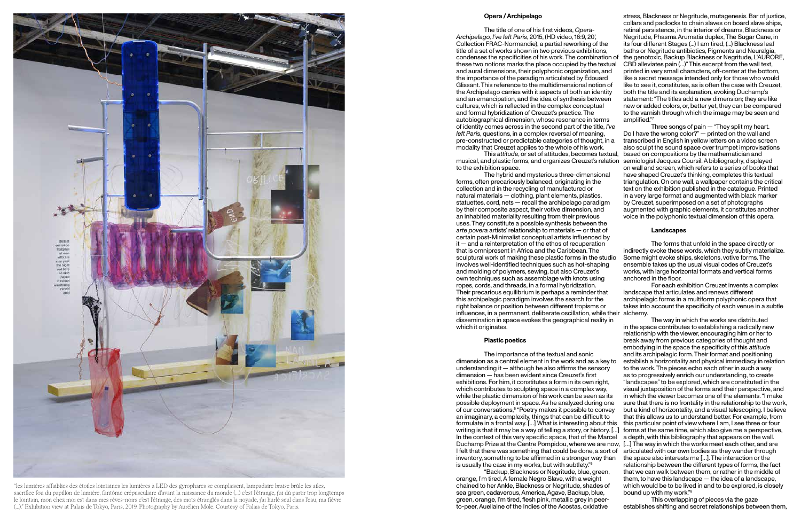

"les lumières affaiblies des étoiles lointaines les lumières à LED des gyrophares se complaisent, lampadaire braise brûle les ailes, sacrifice fou du papillon de lumière, fantôme crépusculaire d'avant la naissance du monde (...) c'est l'étrange, j'ai dû partir trop longtemps le lointain, mon chez moi est dans mes rêves-noirs c'est l'étrange, des mots étranglés dans la noyade, j'ai hurlé seul dans l'eau, ma fièvre (...)." Exhibition view at Palais de Tokyo, Paris, 2019. Photography by Aurélien Mole. Courtesy of Palais de Tokyo, Paris.

to the exhibition space.

**Opera / Archipelago** The title of one of his first videos, *Opera-Archipelago, I've left Paris*, 2015, (HD video, 16:9, 20', Collection FRAC-Normandie), a partial reworking of the title of a set of works shown in two previous exhibitions, condenses the specificities of his work. The combination of these two notions marks the place occupied by the textual and aural dimensions, their polyphonic organization, and the importance of the paradigm articulated by Édouard Glissant. This reference to the multidimensional notion of the Archipelago carries with it aspects of both an identity and an emancipation, and the idea of synthesis between cultures, which is reflected in the complex conceptual and formal hybridization of Creuzet's practice. The autobiographical dimension, whose resonance in terms of identity comes across in the second part of the title, *I've left Paris*, questions, in a complex reversal of meaning, pre-constructed or predictable categories of thought, in a modality that Creuzet applies to the whole of his work. This *attitude*, or set of attitudes, becomes textual, musical, and plastic forms, and organizes Creuzet's relation semiologist Jacques Coursil. A bibliography, displayed stress, Blackness or Negritude, mutagenesis. Bar of justice, collars and padlocks to chain slaves on board slave ships, retinal persistence, in the interior of dreams, Blackness or Negritude, Phasma Arumatia duplex, The Sugar Cane, in its four different Stages (...) I am tired, (...) Blackness leaf baths or Negritude antibiotics, Pigments and Neuralgia, the genotoxic, Backup Blackness or Negritude, L'AURORE, CBD alleviates pain (…)" This excerpt from the wall text, printed in very small characters, off-center at the bottom, like a secret message intended only for those who would like to see it, constitutes, as is often the case with Creuzet, both the title and its explanation, evoking Duchamp's statement: "The titles add a new dimension; they are like new or added colors, or, better yet, they can be compared to the varnish through which the image may be seen and amplified."7 Three songs of pain — "They split my heart. Do I have the wrong color?" — printed on the wall and transcribed in English in yellow letters on a video screen also sculpt the sound space over trumpet improvisations based on compositions by the mathematician and

The hybrid and mysterious three-dimensional forms, often precariously balanced, originating in the collection and in the recycling of manufactured or natural materials — clothing, plant elements, plastics, statuettes, cord, nets — recall the archipelago paradigm by their composite aspect, their votive dimension, and an inhabited materiality resulting from their previous uses. They constitute a possible synthesis between the *arte povera* artists' relationship to materials — or that of certain post-Minimalist conceptual artists influenced by it — and a reinterpretation of the ethos of recuperation that is omnipresent in Africa and the Caribbean. The sculptural work of making these plastic forms in the studio involves well-identified techniques such as hot-shaping and molding of polymers, sewing, but also Creuzet's own techniques such as assemblage with knots using ropes, cords, and threads, in a formal hybridization. Their precarious equilibrium is perhaps a reminder that this archipelagic paradigm involves the search for the right balance or position between different tropisms or influences, in a permanent, deliberate oscillation, while their alchemy. dissemination in space evokes the geographical reality in triangulation. On one wall, a wallpaper contains the critical text on the exhibition published in the catalogue. Printed in a very large format and augmented with black marker by Creuzet, superimposed on a set of photographs augmented with graphic elements, it constitutes another voice in the polyphonic textual dimension of this opera. **Landscapes** The forms that unfold in the space directly or indirectly evoke these words, which they subtly materialize. Some might evoke ships, skeletons, votive forms. The ensemble takes up the usual visual codes of Creuzet's works, with large horizontal formats and vertical forms anchored in the floor. For each exhibition Creuzet invents a complex landscape that articulates and renews different archipelagic forms in a multiform polyphonic opera that takes into account the specificity of each venue in a subtle The way in which the works are distributed

sea green, cadaverous, America, Agave, Backup, blue, green, orange, I'm tired, flesh pink, metallic grey in peerto-peer, Auellaine of the Indies of the Acostas, oxidative

which it originates. **Plastic poetics**  The importance of the textual and sonic dimension as a central element in the work and as a key to understanding it — although he also affirms the sensory dimension — has been evident since Creuzet's first exhibitions. For him, it constitutes a form in its own right, which contributes to sculpting space in a complex way, while the plastic dimension of his work can be seen as its possible deployment in space. As he analyzed during one of our conversations,<sup>5</sup> "Poetry makes it possible to convey an imaginary, a complexity, things that can be difficult to formulate in a frontal way. […] What is interesting about this writing is that it may be a way of telling a story, or history. […] In the context of this very specific space, that of the Marcel Duchamp Prize at the Centre Pompidou, where we are now, I felt that there was something that could be done, a sort of inventory, something to be affirmed in a stronger way than is usually the case in my works, but with subtlety."6 "Backup, Blackness or Negritude, blue, green, orange, I'm tired, A female Negro Slave, with a weight chained to her Ankle, Blackness or Negritude, shades of in the space contributes to establishing a radically new relationship with the viewer, encouraging him or her to break away from previous categories of thought and embodying in the space the specificity of this *attitude* and its archipelagic form. Their format and positioning establish a horizontality and physical immediacy in relation to the work. The pieces echo each other in such a way as to progressively enrich our understanding, to create "landscapes" to be explored, which are constituted in the visual juxtaposition of the forms and their perspective, and in which the viewer becomes one of the elements. "I make sure that there is no frontality in the relationship to the work, but a kind of horizontality, and a visual telescoping. I believe that this allows us to understand better. For example, from this particular point of view where I am, I see three or four forms at the same time, which also give me a perspective, a depth, with this bibliography that appears on the wall. [...] The way in which the works meet each other, and are articulated with our own bodies as they wander through the space also interests me […]. The interaction or the relationship between the different types of forms, the fact that we can walk between them, or rather in the middle of them, to have this landscape — the idea of a landscape, which would be to be lived in and to be explored, is closely bound up with my work."8

on wall and screen, which refers to a series of books that have shaped Creuzet's thinking, completes this textual

This overlapping of pieces via the gaze establishes shifting and secret relationships between them,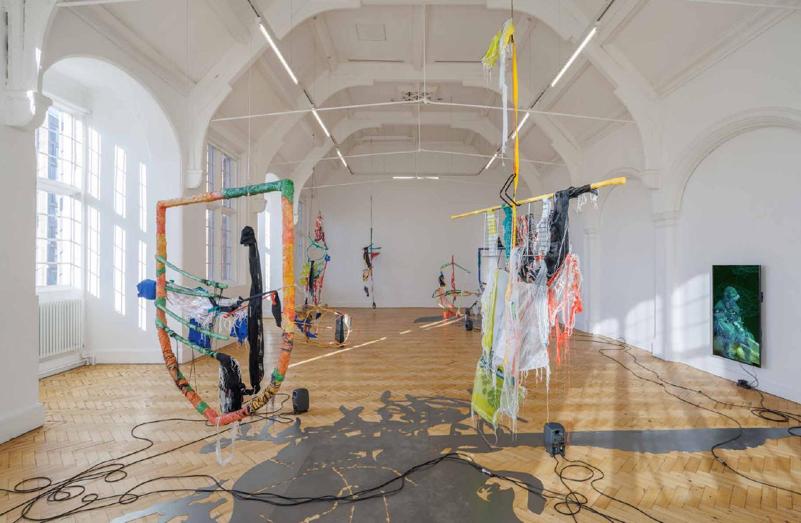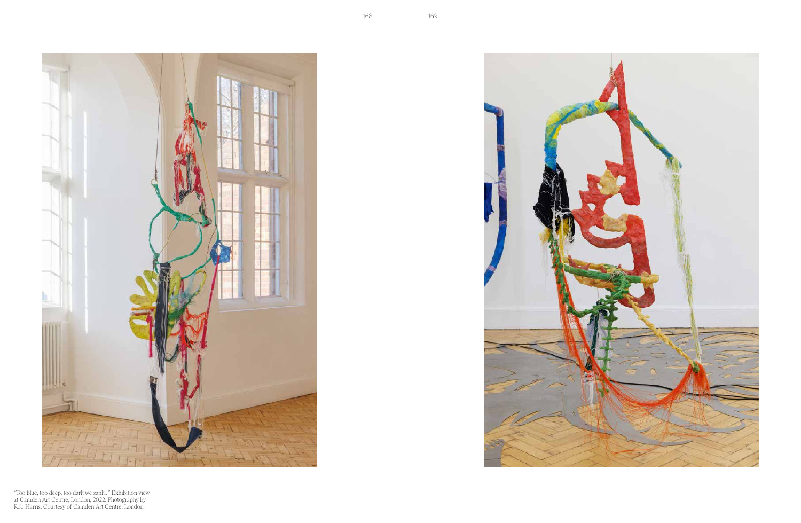



"Too blue, too deep, too dark we sank…" Exhibition view at Camden Art Centre, London, 2022. Photography by Rob Harris. Courtesy of Camden Art Centre, London.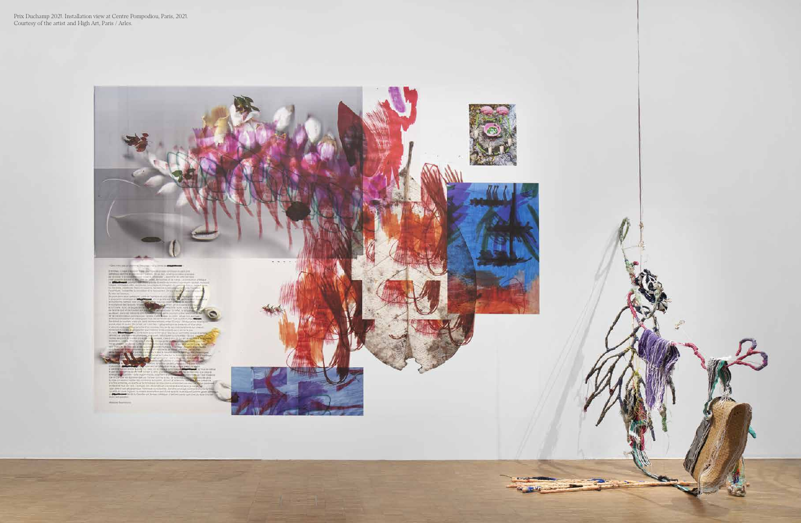